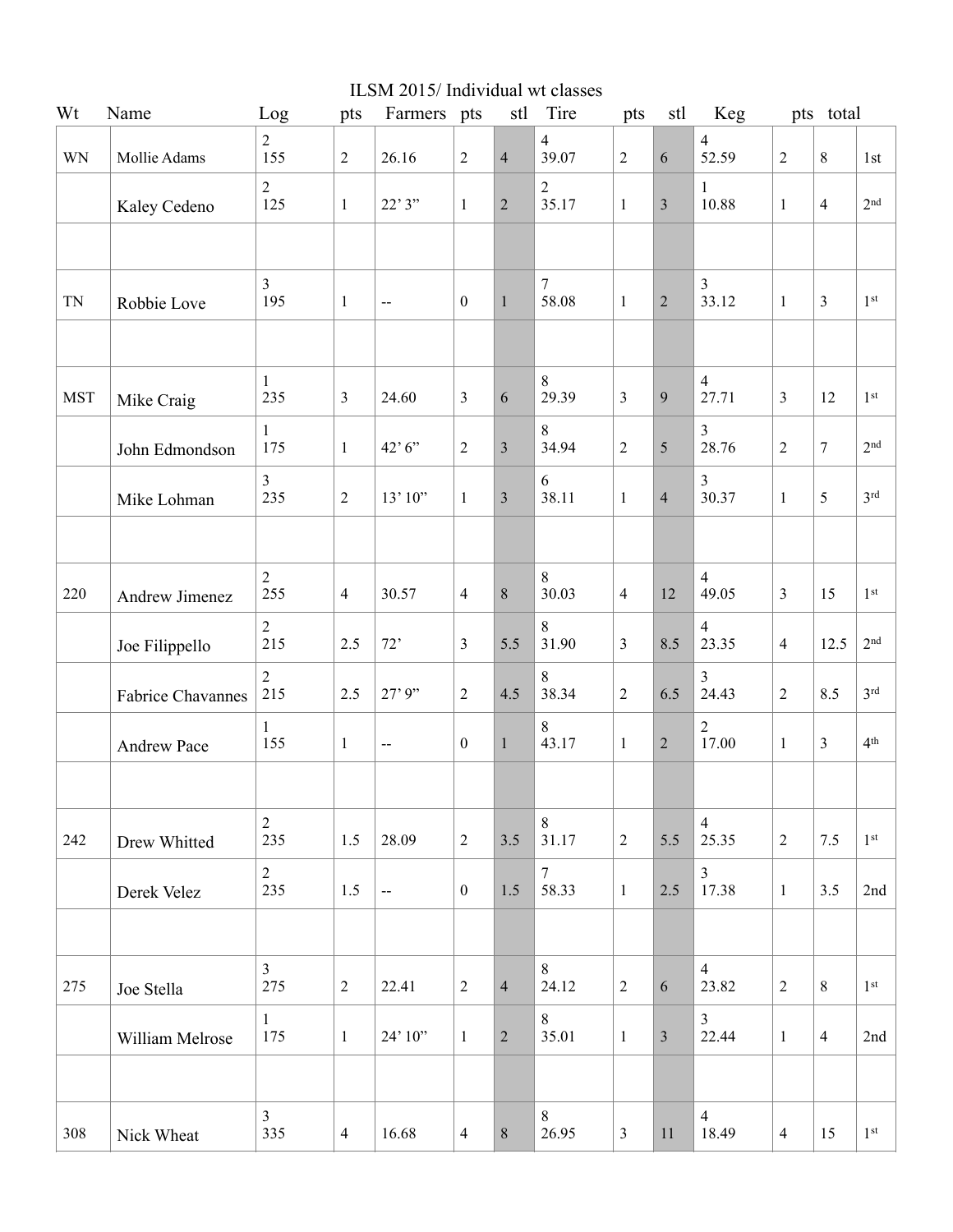|            |                          |                       |                | ILSM 2015/Individual wt classes |                  |                         |                         |                |                |                           |                |                         |                 |
|------------|--------------------------|-----------------------|----------------|---------------------------------|------------------|-------------------------|-------------------------|----------------|----------------|---------------------------|----------------|-------------------------|-----------------|
| Wt         | Name                     | Log                   | pts            | Farmers pts                     |                  | stl                     | Tire                    | pts            | stl            | Keg                       |                | pts total               |                 |
| <b>WN</b>  | Mollie Adams             | $\overline{2}$<br>155 | $\overline{2}$ | 26.16                           | $\sqrt{2}$       | $\overline{4}$          | $\overline{4}$<br>39.07 | $\overline{2}$ | $\sqrt{6}$     | $\overline{4}$<br>52.59   | $\sqrt{2}$     | $8\,$                   | 1st             |
|            | Kaley Cedeno             | $\overline{2}$<br>125 | $\mathbf{1}$   | 22'3''                          | $\mathbf{1}$     | $\overline{2}$          | $\sqrt{2}$<br>35.17     | $\mathbf{1}$   | 3              | $\mathbf{1}$<br>10.88     | $\mathbf{1}$   | $\overline{4}$          | 2 <sup>nd</sup> |
|            |                          |                       |                |                                 |                  |                         |                         |                |                |                           |                |                         |                 |
| TN         | Robbie Love              | $\overline{3}$<br>195 | $\mathbf{1}$   | $-$                             | $\boldsymbol{0}$ | $\mathbf{1}$            | $\overline{7}$<br>58.08 | $\mathbf{1}$   | $\overline{2}$ | 3<br>33.12                | $\mathbf{1}$   | 3                       | 1 <sup>st</sup> |
|            |                          | $\mathbf{1}$          |                |                                 |                  |                         | $8\,$                   |                |                | $\overline{4}$            |                |                         |                 |
| <b>MST</b> | Mike Craig               | 235                   | $\overline{3}$ | 24.60                           | $\mathfrak{Z}$   | 6                       | 29.39                   | 3              | $\overline{9}$ | 27.71                     | $\overline{3}$ | 12                      | 1 <sup>st</sup> |
|            | John Edmondson           | $\mathbf{1}$<br>175   | $\mathbf{1}$   | 42'6''                          | $\sqrt{2}$       | $\mathfrak{Z}$          | $8\,$<br>34.94          | $\overline{2}$ | 5              | $\overline{3}$<br>28.76   | $\overline{2}$ | $\tau$                  | 2 <sup>nd</sup> |
|            | Mike Lohman              | $\overline{3}$<br>235 | $\overline{2}$ | 13'10"                          | $\mathbf{1}$     | $\overline{\mathbf{3}}$ | 6<br>38.11              | $\mathbf{1}$   | $\overline{4}$ | 3<br>30.37                | $\mathbf{1}$   | 5                       | 3 <sup>rd</sup> |
|            |                          |                       |                |                                 |                  |                         |                         |                |                |                           |                |                         |                 |
| 220        | Andrew Jimenez           | $\sqrt{2}$<br>255     | $\overline{4}$ | 30.57                           | $\overline{4}$   | 8                       | $8\,$<br>30.03          | $\overline{4}$ | 12             | $\overline{4}$<br>49.05   | $\overline{3}$ | 15                      | 1 <sup>st</sup> |
|            | Joe Filippello           | $\overline{2}$<br>215 | 2.5            | 72'                             | $\mathfrak{Z}$   | 5.5                     | $\,8\,$<br>31.90        | 3              | 8.5            | $\overline{4}$<br>23.35   | $\overline{4}$ | 12.5                    | 2 <sup>nd</sup> |
|            | <b>Fabrice Chavannes</b> | $\overline{2}$<br>215 | 2.5            | 27'9''                          | $\sqrt{2}$       | 4.5                     | $8\,$<br>38.34          | $\overline{c}$ | 6.5            | 3<br>24.43                | $\sqrt{2}$     | 8.5                     | 3 <sup>rd</sup> |
|            | Andrew Pace              | $\mathbf{1}$<br>155   | $\mathbf{1}$   | $\overline{a}$                  | $\boldsymbol{0}$ | $\mathbf{1}$            | $8\,$<br>43.17          | $\mathbf{1}$   | $\overline{c}$ | $\boldsymbol{2}$<br>17.00 | $\mathbf{1}$   | $\overline{\mathbf{3}}$ | 4 <sup>th</sup> |
|            |                          |                       |                |                                 |                  |                         |                         |                |                |                           |                |                         |                 |
| 242        | Drew Whitted             | $\overline{2}$<br>235 | 1.5            | 28.09                           | $\sqrt{2}$       | 3.5                     | 8<br>31.17              | $\sqrt{2}$     | 5.5            | $\overline{4}$<br>25.35   | $\sqrt{2}$     | 7.5                     | 1 <sup>st</sup> |
|            | Derek Velez              | $\overline{2}$<br>235 | 1.5            | $\overline{\phantom{a}}$        | $\boldsymbol{0}$ | 1.5                     | $\overline{7}$<br>58.33 | $\mathbf{1}$   | 2.5            | 3<br>17.38                | $\mathbf{1}$   | 3.5                     | 2nd             |
|            |                          |                       |                |                                 |                  |                         |                         |                |                |                           |                |                         |                 |
| 275        | Joe Stella               | $\overline{3}$<br>275 | $\overline{2}$ | 22.41                           | $\sqrt{2}$       | $\overline{4}$          | $\,8\,$<br>24.12        | $\overline{2}$ | 6              | $\overline{4}$<br>23.82   | $\overline{2}$ | $\,8\,$                 | 1 <sup>st</sup> |
|            | William Melrose          | $\mathbf{1}$<br>175   | $\mathbf{1}$   | 24' 10"                         | $\mathbf{1}$     | $\overline{2}$          | 8<br>35.01              | $\mathbf{1}$   | 3              | 3<br>22.44                | $\mathbf{1}$   | $\overline{4}$          | 2nd             |
|            |                          |                       |                |                                 |                  |                         |                         |                |                |                           |                |                         |                 |
| 308        | Nick Wheat               | $\overline{3}$<br>335 | $\overline{4}$ | 16.68                           | $\overline{4}$   | $8\,$                   | $\,8\,$<br>26.95        | $\mathfrak{Z}$ | 11             | $\overline{4}$<br>18.49   | $\overline{4}$ | 15                      | 1 <sup>st</sup> |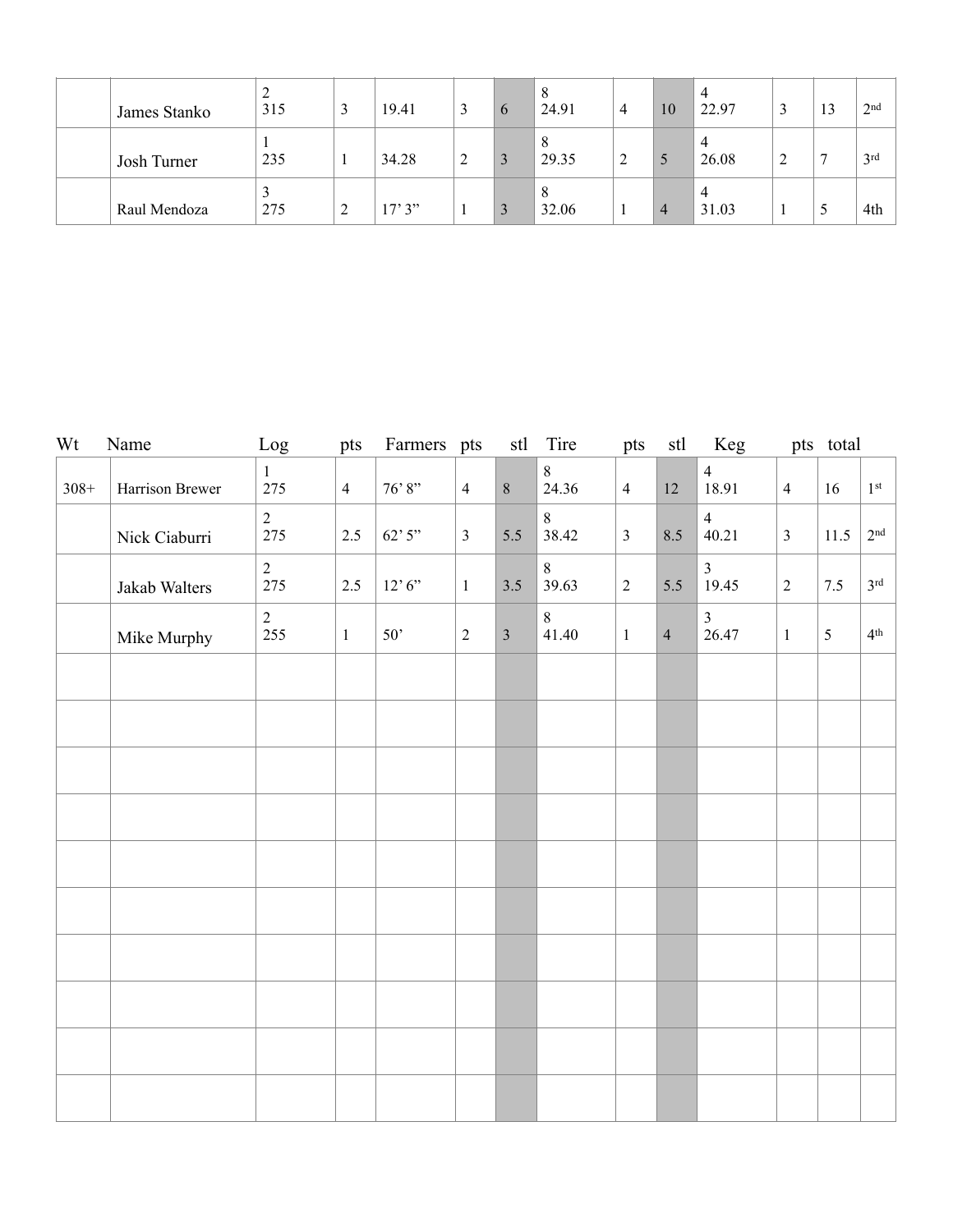| James Stanko | ↵<br>315 |        | 19.41  | 3 | $\mathfrak h$ | 8<br>24.91 | 4            | 10 | 22.97                   | نہ | 13 | 2 <sup>nd</sup> |
|--------------|----------|--------|--------|---|---------------|------------|--------------|----|-------------------------|----|----|-----------------|
| Josh Turner  | 235      |        | 34.28  | 2 |               | 8<br>29.35 | 2            |    | $\overline{4}$<br>26.08 | ∠  | Ξ  | 3 <sup>rd</sup> |
| Raul Mendoza | 275      | ◠<br>∠ | 17'3'' |   |               | 8<br>32.06 | $\mathbf{r}$ | 4  | 31.03                   |    | ς  | 4th             |

| Wt     | Name            | Log                   | pts            | Farmers pts        |                |                | stl Tire         | pts            |                | stl Keg                 |                | pts total |                 |
|--------|-----------------|-----------------------|----------------|--------------------|----------------|----------------|------------------|----------------|----------------|-------------------------|----------------|-----------|-----------------|
| $308+$ | Harrison Brewer | $\mathbf{1}$<br>275   | $\overline{4}$ | $76^\circ\!\!\;8"$ | $\overline{4}$ | $\,8\,$        | $8\,$<br>24.36   | $\overline{4}$ | $12 \,$        | $\overline{4}$<br>18.91 | $\overline{4}$ | 16        | 1 <sup>st</sup> |
|        | Nick Ciaburri   | $\overline{2}$<br>275 | 2.5            | 62'3''             | $\mathfrak{Z}$ | 5.5            | $\,8\,$<br>38.42 | $\overline{3}$ | 8.5            | $\overline{4}$<br>40.21 | $\overline{3}$ | 11.5      | 2 <sup>nd</sup> |
|        | Jakab Walters   | $\overline{2}$<br>275 | 2.5            | 12, 6,             | $\mathbf{1}$   | $3.5$          | $8\,$<br>39.63   | $\overline{2}$ | 5.5            | $\overline{3}$<br>19.45 | $\overline{2}$ | 7.5       | 3 <sup>rd</sup> |
|        | Mike Murphy     | $\overline{2}$<br>255 | $\,1\,$        | 50'                | $\sqrt{2}$     | $\overline{3}$ | $\,8\,$<br>41.40 | $\mathbf{1}$   | $\overline{4}$ | $\overline{3}$<br>26.47 | $\mathbf{1}$   | 5         | 4 <sup>th</sup> |
|        |                 |                       |                |                    |                |                |                  |                |                |                         |                |           |                 |
|        |                 |                       |                |                    |                |                |                  |                |                |                         |                |           |                 |
|        |                 |                       |                |                    |                |                |                  |                |                |                         |                |           |                 |
|        |                 |                       |                |                    |                |                |                  |                |                |                         |                |           |                 |
|        |                 |                       |                |                    |                |                |                  |                |                |                         |                |           |                 |
|        |                 |                       |                |                    |                |                |                  |                |                |                         |                |           |                 |
|        |                 |                       |                |                    |                |                |                  |                |                |                         |                |           |                 |
|        |                 |                       |                |                    |                |                |                  |                |                |                         |                |           |                 |
|        |                 |                       |                |                    |                |                |                  |                |                |                         |                |           |                 |
|        |                 |                       |                |                    |                |                |                  |                |                |                         |                |           |                 |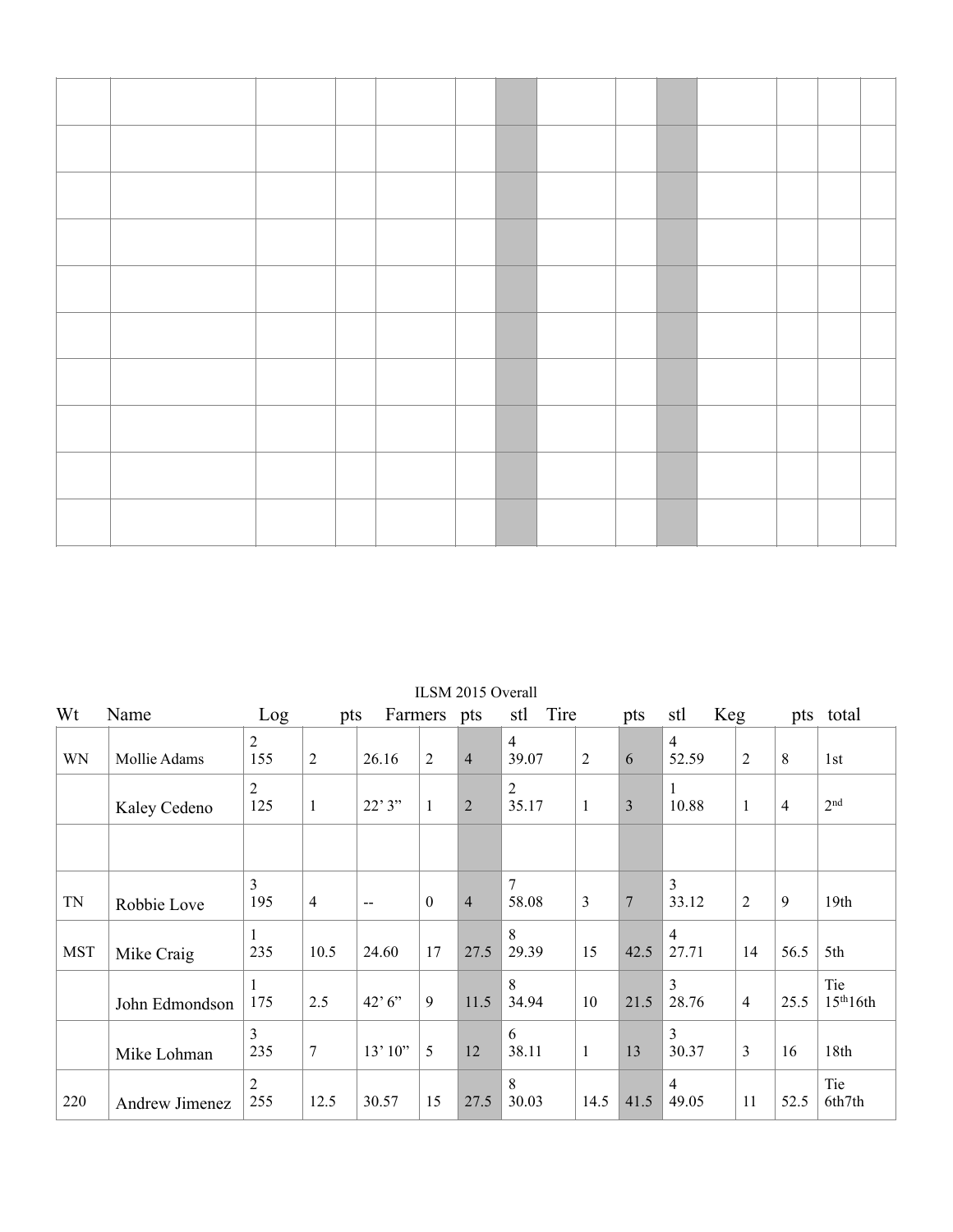| Wt         | Name                  | Log                   | pts            |        | Farmers pts      | ILOINI ZUTO OVUAII | Tire<br>stl             |      | pts            | <b>Keg</b><br>stl       |                |                | pts total        |
|------------|-----------------------|-----------------------|----------------|--------|------------------|--------------------|-------------------------|------|----------------|-------------------------|----------------|----------------|------------------|
| WN         | Mollie Adams          | $\overline{2}$<br>155 | $\overline{2}$ | 26.16  | $\overline{2}$   | $\overline{4}$     | $\overline{4}$<br>39.07 | 2    | 6              | $\overline{4}$<br>52.59 | $\overline{2}$ | 8              | 1st              |
|            | Kaley Cedeno          | $\overline{2}$<br>125 | 1              | 22'3'' | 1                | $\overline{2}$     | $\overline{2}$<br>35.17 | 1    | 3              | 1<br>10.88              | 1              | $\overline{4}$ | 2 <sup>nd</sup>  |
|            |                       |                       |                |        |                  |                    |                         |      |                |                         |                |                |                  |
| <b>TN</b>  | Robbie Love           | 3<br>195              | $\overline{4}$ | $-$    | $\boldsymbol{0}$ | $\overline{4}$     | 7<br>58.08              | 3    | $\overline{7}$ | 3<br>33.12              | $\overline{2}$ | 9              | 19 <sub>th</sub> |
| <b>MST</b> | Mike Craig            | 1<br>235              | 10.5           | 24.60  | 17               | 27.5               | 8<br>29.39              | 15   | 42.5           | $\overline{4}$<br>27.71 | 14             | 56.5           | 5th              |
|            | John Edmondson        | 175                   | 2.5            | 42'6'' | 9                | 11.5               | 8<br>34.94              | 10   | 21.5           | 3<br>28.76              | $\overline{4}$ | 25.5           | Tie<br>15th16th  |
|            | Mike Lohman           | 3<br>235              | 7              | 13'10" | 5                | 12                 | 6<br>38.11              | 1    | 13             | 3<br>30.37              | 3              | 16             | 18th             |
| 220        | <b>Andrew Jimenez</b> | 2<br>255              | 12.5           | 30.57  | 15               | 27.5               | 8<br>30.03              | 14.5 | 41.5           | $\overline{4}$<br>49.05 | 11             | 52.5           | Tie<br>6th7th    |

ILSM 2015 Overall